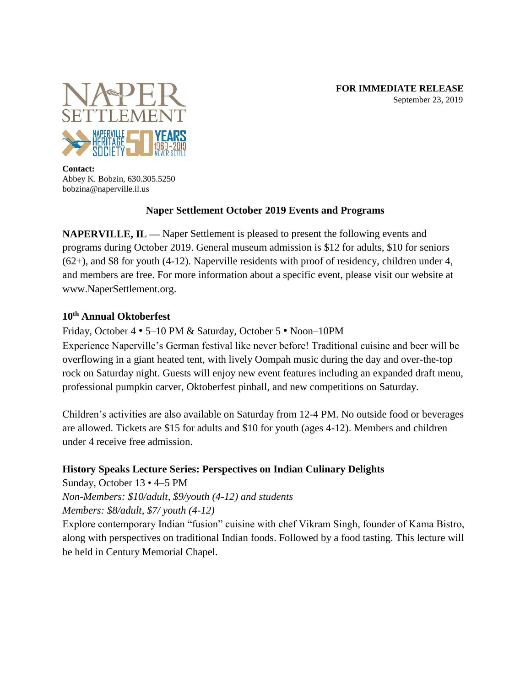

**Contact:** Abbey K. Bobzin, 630.305.5250 bobzina@naperville.il.us

# **Naper Settlement October 2019 Events and Programs**

**NAPERVILLE, IL —** Naper Settlement is pleased to present the following events and programs during October 2019. General museum admission is \$12 for adults, \$10 for seniors (62+), and \$8 for youth (4-12). Naperville residents with proof of residency, children under 4, and members are free. For more information about a specific event, please visit our website at www.NaperSettlement.org.

### **10th Annual Oktoberfest**

Friday, October 4 • 5–10 PM & Saturday, October 5 • Noon–10PM

Experience Naperville's German festival like never before! Traditional cuisine and beer will be overflowing in a giant heated tent, with lively Oompah music during the day and over-the-top rock on Saturday night. Guests will enjoy new event features including an expanded draft menu, professional pumpkin carver, Oktoberfest pinball, and new competitions on Saturday.

Children's activities are also available on Saturday from 12-4 PM. No outside food or beverages are allowed. Tickets are \$15 for adults and \$10 for youth (ages 4-12). Members and children under 4 receive free admission.

# **History Speaks Lecture Series: Perspectives on Indian Culinary Delights**

Sunday, October 13 • 4–5 PM *Non-Members: \$10/adult, \$9/youth (4-12) and students Members: \$8/adult, \$7/ youth (4-12)* 

Explore contemporary Indian "fusion" cuisine with chef Vikram Singh, founder of Kama Bistro, along with perspectives on traditional Indian foods. Followed by a food tasting. This lecture will be held in Century Memorial Chapel.